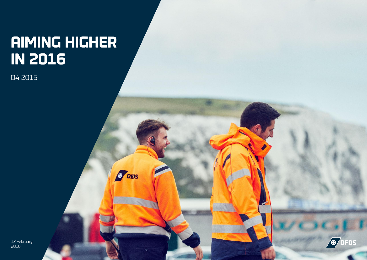# **AIMING HIGHER IN 2016**

**F** DIDS

Q4 2015

12 February 2016

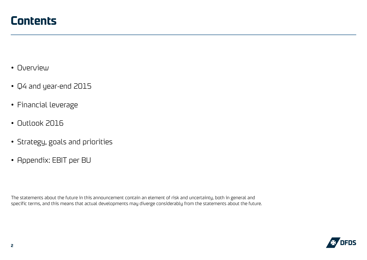- Overview
- Q4 and year-end 2015
- Financial leverage
- Outlook 2016
- Strategy, goals and priorities
- Appendix: EBIT per BU

The statements about the future in this announcement contain an element of risk and uncertainty, both in general and specific terms, and this means that actual developments may diverge considerably from the statements about the future.

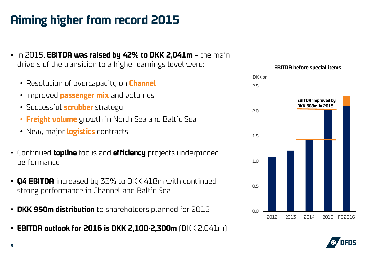## **Aiming higher from record 2015**

- In 2015, **EBITDA was raised by 42% to DKK 2,041m**  the main drivers of the transition to a higher earnings level were:
	- Resolution of overcapacity on **Channel**
	- Improved **passenger mix** and volumes
	- Successful **scrubber** strategy
	- **Freight volume** growth in North Sea and Baltic Sea
	- New, major **logistics** contracts
- Continued **topline** focus and **efficiency** projects underpinned performance
- **Q4 EBITDA** increased by 33% to DKK 418m with continued strong performance in Channel and Baltic Sea
- **DKK 950m distribution** to shareholders planned for 2016
- **EBITDA outlook for 2016 is DKK 2,100-2,300m** (DKK 2,041m)



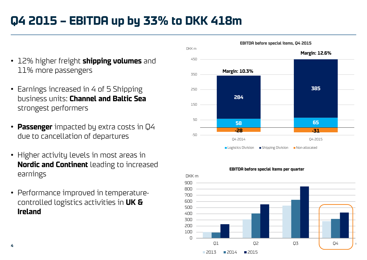#### **Q4 2015 – EBITDA up by 33% to DKK 418m**

- 12% higher freight **shipping volumes** and 11% more passengers
- Earnings increased in 4 of 5 Shipping business units: **Channel and Baltic Sea**  strongest performers
- **Passenger** impacted by extra costs in Q4 due to cancellation of departures
- Higher activity levels in most areas in **Nordic and Continent** leading to increased earnings
- Performance improved in temperaturecontrolled logistics activities in **UK & Ireland**





**EBITDA before special items per quarter**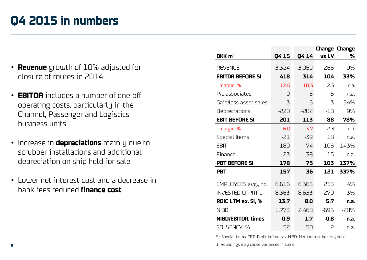#### **Q4 2015 in numbers**

- **Revenue** growth of 10% adjusted for closure of routes in 2014
- **EBITDA** includes a number of one-off operating costs, particularly in the Channel, Passenger and Logistics business units
- Increase in **depreciations** mainly due to scrubber installations and additional depreciation on ship held for sale
- Lower net interest cost and a decrease in bank fees reduced **finance cost**

|                           |        |        |              | <b>Change Change</b> |
|---------------------------|--------|--------|--------------|----------------------|
| DKK $m1$                  | Q4 15  | Q4 14  | <b>vs LY</b> | ℅                    |
| <b>REVENUE</b>            | 3,324  | 3,059  | 266          | 9%                   |
| <b>EBITDA BEFORE SI</b>   | 418    | 314    | 104          | 33%                  |
| margin, %                 | 12.6   | 10.3   | 2.3          | n.a.                 |
| P/L associates            | 0      | -5     | 5            | n.a.                 |
| Gain/loss asset sales     | 3      | 6      | -3           | $-54%$               |
| Depreciations             | $-220$ | $-202$ | $-18$        | 9%                   |
| <b>EBIT BEFORE SI</b>     | 201    | 113    | 88           | 78%                  |
| margin, %                 | 6.0    | 3.7    | 2.3          | n.a.                 |
| Special Items             | $-21$  | $-39$  | 18           | n.a.                 |
| <b>EBIT</b>               | 180    | 74     | 106          | 143%                 |
| Finance                   | $-23$  | $-38$  | 15           | n.a.                 |
| <b>PBT BEFORE SI</b>      | 178    | 75     | 103          | 137%                 |
| <b>PBT</b>                | 157    | 36     | 121          | 337%                 |
| EMPLOYEES avg., no.       | 6,616  | 6,363  | 253          | 4%                   |
| <b>INVESTED CAPITAL</b>   | 8,363  | 8,633  | $-270$       | $-3%$                |
| ROIC LTM ex. SI, %        | 13.7   | 8.0    | 5.7          | n.a.                 |
| <b>NIBD</b>               | 1,773  | 2,468  | $-695$       | $-28%$               |
| <b>NIBD/EBITDA, times</b> | 0.9    | 1.7    | $-0.8$       | n.a.                 |
| SOLVENCY, %               | 52     | 50     | 2            | n.a.                 |

SI: Special items. PBT: Profit before tax. NIBD: Net interest-bearing debt.

1: Roundings may cause variances in sums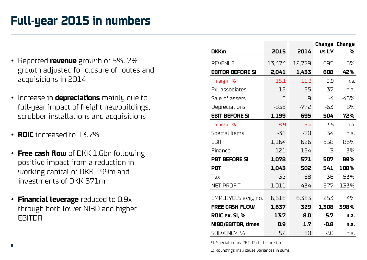#### **Full-year 2015 in numbers**

- Reported **revenue** growth of 5%. 7% growth adjusted for closure of routes and acquisitions in 2014
- Increase in **depreciations** mainly due to full-year impact of freight newbuildings, scrubber installations and acquisitions
- **ROIC** increased to 13.7%
- **Free cash flow** of DKK 1.6bn following positive impact from a reduction in working capital of DKK 199m and investments of DKK 571m
- **Financial leverage** reduced to 0.9x through both lower NIBD and higher **FRITDA**

|                           |        |        |        | <b>Change Change</b> |
|---------------------------|--------|--------|--------|----------------------|
| <b>DKKm</b>               | 2015   | 2014   | vs LY  | %                    |
| <b>REVENUE</b>            | 13,474 | 12,779 | 695    | 5%                   |
| <b>EBITDA BEFORE SI</b>   | 2,041  | 1,433  | 608    | 42%                  |
| margin, %                 | 15.1   | 11.2   | 3.9    | n.a.                 |
| P/L associates            | $-12$  | 25     | $-37$  | n.a.                 |
| Sale of assets            | 5      | 9      | $-4$   | $-46%$               |
| Depreciations             | $-835$ | $-772$ | -63    | 8%                   |
| <b>EBIT BEFORE SI</b>     | 1,199  | 695    | 504    | 72%                  |
| margin, %                 | 8.9    | 5.4    | 3.5    | n.a.                 |
| Special Items             | $-36$  | $-70$  | 34     | n.a.                 |
| <b>EBIT</b>               | 1,164  | 626    | 538    | 86%                  |
| Finance                   | $-121$ | $-124$ | 3      | $-3%$                |
| <b>PBT BEFORE SI</b>      | 1,078  | 571    | 507    | 89%                  |
| <b>PBT</b>                | 1,043  | 502    | 541    | 108%                 |
| Tax                       | $-32$  | $-68$  | 36     | $-53%$               |
| NET PROFIT                | 1,011  | 434    | 577    | 133%                 |
| EMPLOYEES avg., no.       | 6,616  | 6,363  | 253    | 4%                   |
| <b>FREE CASH FLOW</b>     |        |        |        |                      |
|                           | 1,637  | 329    | 1,308  | 398%                 |
| ROIC ex. SI, %            | 13.7   | 8.0    | 5.7    | n.a.                 |
| <b>NIBD/EBITDA, times</b> | 0.9    | 1.7    | $-0.8$ | n.a.                 |
| SOLVENCY, %               | 52     | 50     | 2.0    | n.a.                 |

SI: Special items. PBT: Profit before tax

1: Roundings may cause variances in sums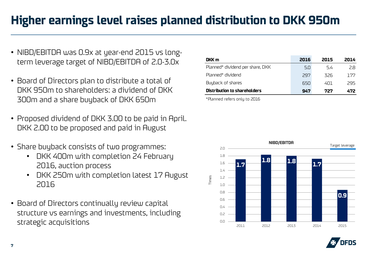## **Higher earnings level raises planned distribution to DKK 950m**

- NIBD/EBITDA was 0.9x at year-end 2015 vs longterm leverage target of NIBD/EBITDA of 2.0-3.0x
- Board of Directors plan to distribute a total of DKK 950m to shareholders: a dividend of DKK 300m and a share buyback of DKK 650m
- Proposed dividend of DKK 3.00 to be paid in April. DKK 2.00 to be proposed and paid in August
- Share buyback consists of two programmes:
	- DKK 400m with completion 24 February 2016, auction process
	- DKK 250m with completion latest 17 August 2016
- Board of Directors continually review capital structure vs earnings and investments, including strategic acquisitions

| DKK m                            | 2016 | 2015 | 2014 |
|----------------------------------|------|------|------|
| Planned* dividend per share, DKK | 5.N  | 5.4  | 28   |
| Planned <sup>*</sup> dividend    | 297  | 326  | 177  |
| Buyback of shares                | 650  | 401  | 295  |
| Distribution to shareholders     | 947  | 727  | 472  |
|                                  |      |      |      |

\*Planned refers only to 2016



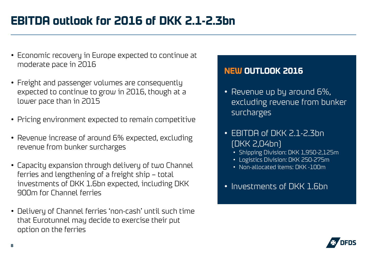## **EBITDA outlook for 2016 of DKK 2.1-2.3bn**

- Economic recovery in Europe expected to continue at moderate pace in 2016
- Freight and passenger volumes are consequently expected to continue to grow in 2016, though at a lower pace than in 2015
- Pricing environment expected to remain competitive
- Revenue increase of around 6% expected, excluding revenue from bunker surcharges
- Capacity expansion through delivery of two Channel ferries and lengthening of a freight ship – total investments of DKK 1.6bn expected, including DKK 900m for Channel ferries
- Delivery of Channel ferries 'non-cash' until such time that Eurotunnel may decide to exercise their put option on the ferries

#### **NEW OUTLOOK 2016**

- Revenue up by around 6%, excluding revenue from bunker surcharges
- EBITDA of DKK 2.1-2.3bn (DKK 2,04bn)
	- Shipping Division: DKK 1,950-2,125m
	- Logistics Division: DKK 250-275m
	- Non-allocated items: DKK -100m
- Investments of DKK 1.6bn

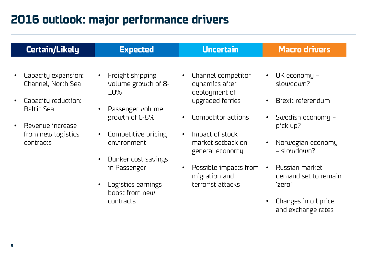#### **2016 outlook: major performance drivers**

| <b>Certain/Likely</b>                                                                                                                        | <b>Expected</b>                                                                                                                                                                                                                                                                         | <b>Uncertain</b>                                                                                                                                                                                                                                    | <b>Macro drivers</b>                                                                                                                                                                                                               |
|----------------------------------------------------------------------------------------------------------------------------------------------|-----------------------------------------------------------------------------------------------------------------------------------------------------------------------------------------------------------------------------------------------------------------------------------------|-----------------------------------------------------------------------------------------------------------------------------------------------------------------------------------------------------------------------------------------------------|------------------------------------------------------------------------------------------------------------------------------------------------------------------------------------------------------------------------------------|
| Capacity expansion:<br>Channel, North Sea<br>Capacity reduction:<br><b>Baltic Sea</b><br>Revenue increase<br>from new logistics<br>contracts | Freight shipping<br>$\bullet$<br>volume growth of 8-<br>10%<br>Passenger volume<br>$\bullet$<br>growth of 6-8%<br>Competitive pricing<br>$\bullet$<br>environment<br>Bunker cost savings<br>$\bullet$<br>in Passenger<br>Logistics earnings<br>$\bullet$<br>boost from new<br>contracts | Channel competitor<br>dynamics after<br>deployment of<br>upgraded ferries<br>Competitor actions<br>Impact of stock<br>$\bullet$<br>market setback on<br>general economy<br>Possible impacts from<br>$\bullet$<br>migration and<br>terrorist attacks | UK economy –<br>slowdown?<br>Brexit referendum<br>Swedish economy –<br>pick up?<br>Norwegian economy<br>- slowdown?<br>Russian market<br>$\bullet$<br>demand set to remain<br>'zero'<br>Changes in oil price<br>and exchange rates |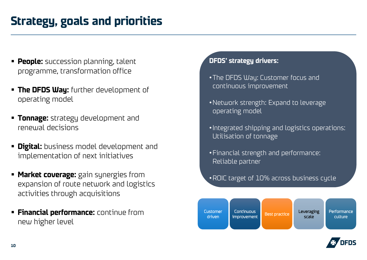#### **Strategy, goals and priorities**

- **People:** succession planning, talent programme, transformation office
- **The DFDS Way:** further development of operating model
- **Tonnage:** strategy development and renewal decisions
- **Digital:** business model development and implementation of next initiatives
- **Market coverage:** gain synergies from expansion of route network and logistics activities through acquisitions
- **Financial performance:** continue from new higher level

#### **DFDS' strategy drivers:**

- •The DFDS Way: Customer focus and continuous improvement
- •Network strength: Expand to leverage operating model
- •Integrated shipping and logistics operations: Utilisation of tonnage
- •Financial strength and performance: Reliable partner
- •ROIC target of 10% across business cycle



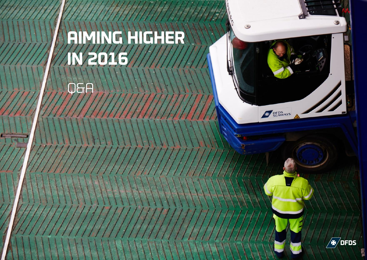# **AIMING HIGHER IN 2016**

**O&A** 

**11**



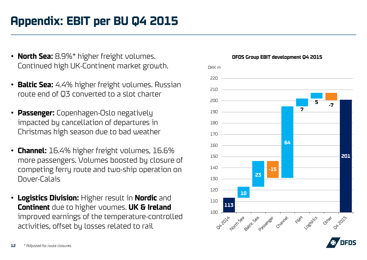## **Appendix: EBIT per BU Q4 2015**

- **North Sea:** 8.9%\* higher freight volumes. Continued high UK-Continent market growth.
- **Baltic Sea:** 4.4% higher freight volumes. Russian route end of Q3 converted to a slot charter
- **Passenger:** Copenhagen-Oslo negatively impacted by cancellation of departures in Christmas high season due to bad weather
- **Channel:** 16.4% higher freight volumes, 16.6% more passengers. Volumes boosted by closure of competing ferry route and two-ship operation on Dover-Calais
- **Logistics Division:** Higher result in **Nordic** and **Continent** due to higher voumes. **UK & Ireland**  improved earnings of the temperature-controlled activities, offset by losses related to rail



#### **DFDS Group EBIT development Q4 2015**